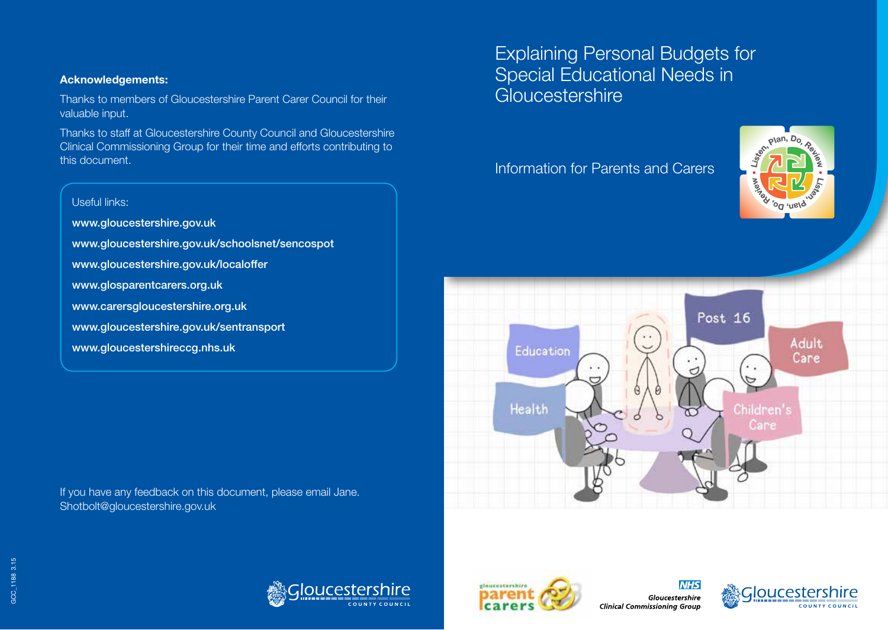### **Acknowledgements:**

Thanks to members of Gloucestershire Parent Carer Council for their valuable input.

Thanks to staff at Gloucestershire County Council and Gloucestershire Clinical Commissioning Group for their time and efforts contributing to this document.

# Useful links: www.gloucestershire.gov.uk www.gloucestershire.gov.uk/schoolsnet/sencospot www.gloucestershire.gov.uk/localoffer www.glosparentcarers.org.uk www.carersgloucestershire.org.uk www.gloucestershire.gov.uk/sentransport www.gloucestershireccg.nhs.uk

If you have any feedback on this document, please email Jane. Shotbolt@gloucestershire.gov.uk

# Explaining Personal Budgets for Special Educational Needs in **Gloucestershire**

Information for Parents and Carers











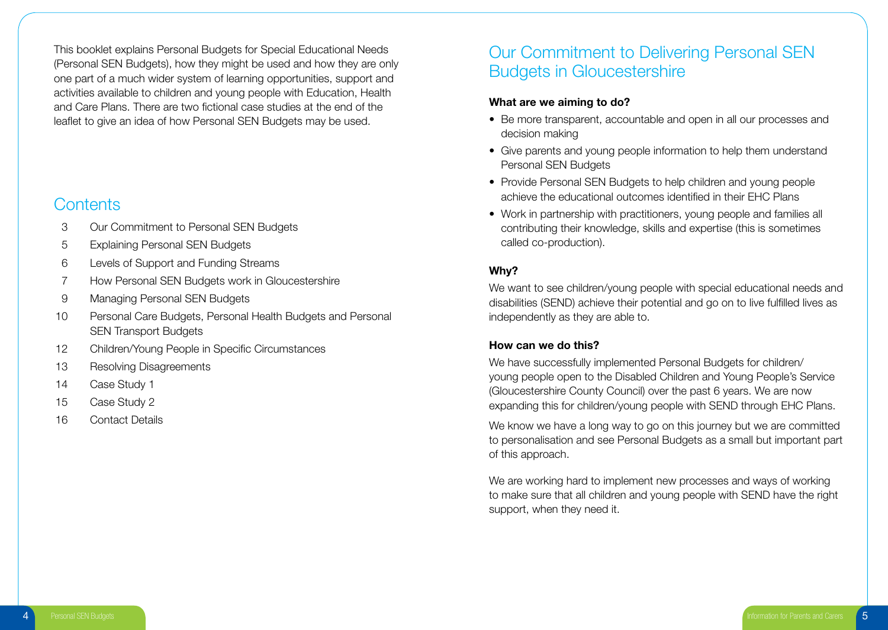This booklet explains Personal Budgets for Special Educational Needs (Personal SEN Budgets), how they might be used and how they are only one part of a much wider system of learning opportunities, support and activities available to children and young people with Education, Health and Care Plans. There are two fictional case studies at the end of the leaflet to give an idea of how Personal SEN Budgets may be used.

### **Contents**

- 3 Our Commitment to Personal SEN Budgets
- 5 Explaining Personal SEN Budgets
- 6 Levels of Support and Funding Streams
- 7 How Personal SEN Budgets work in Gloucestershire
- 9 Managing Personal SEN Budgets
- 10 Personal Care Budgets, Personal Health Budgets and Personal SEN Transport Budgets
- 12 Children/Young People in Specific Circumstances
- 13 Resolving Disagreements
- 14 Case Study 1
- 15 Case Study 2
- 16 Contact Details

## Our Commitment to Delivering Personal SEN Budgets in Gloucestershire

### **What are we aiming to do?**

- Be more transparent, accountable and open in all our processes and decision making
- Give parents and young people information to help them understand Personal SEN Budgets
- Provide Personal SEN Budgets to help children and young people achieve the educational outcomes identified in their EHC Plans
- Work in partnership with practitioners, young people and families all contributing their knowledge, skills and expertise (this is sometimes called co-production).

### **Why?**

We want to see children/young people with special educational needs and disabilities (SEND) achieve their potential and go on to live fulfilled lives as independently as they are able to.

### **How can we do this?**

We have successfully implemented Personal Budgets for children/ young people open to the Disabled Children and Young People's Service (Gloucestershire County Council) over the past 6 years. We are now expanding this for children/young people with SEND through EHC Plans.

We know we have a long way to go on this journey but we are committed to personalisation and see Personal Budgets as a small but important part of this approach.

We are working hard to implement new processes and ways of working to make sure that all children and young people with SEND have the right support, when they need it.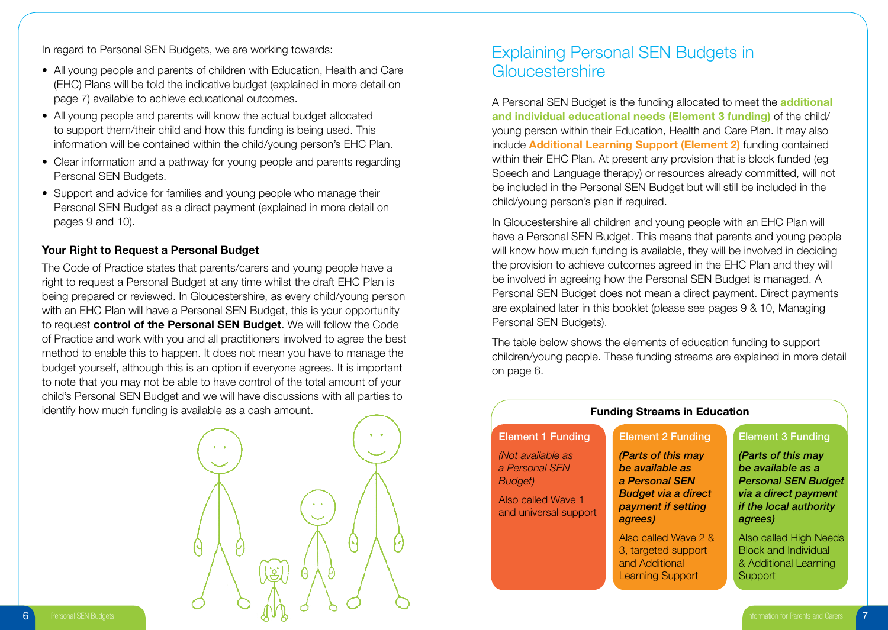In regard to Personal SEN Budgets, we are working towards:

- All young people and parents of children with Education, Health and Care (EHC) Plans will be told the indicative budget (explained in more detail on page 7) available to achieve educational outcomes.
- All young people and parents will know the actual budget allocated to support them/their child and how this funding is being used. This information will be contained within the child/young person's EHC Plan.
- Clear information and a pathway for young people and parents regarding Personal SEN Budgets.
- Support and advice for families and young people who manage their Personal SEN Budget as a direct payment (explained in more detail on pages 9 and 10).

### **Your Right to Request a Personal Budget**

The Code of Practice states that parents/carers and young people have a right to request a Personal Budget at any time whilst the draft EHC Plan is being prepared or reviewed. In Gloucestershire, as every child/young person with an EHC Plan will have a Personal SEN Budget, this is your opportunity to request **control of the Personal SEN Budget**. We will follow the Code of Practice and work with you and all practitioners involved to agree the best method to enable this to happen. It does not mean you have to manage the budget yourself, although this is an option if everyone agrees. It is important to note that you may not be able to have control of the total amount of your child's Personal SEN Budget and we will have discussions with all parties to identify how much funding is available as a cash amount.



### Explaining Personal SEN Budgets in Gloucestershire

A Personal SEN Budget is the funding allocated to meet the **additional and individual educational needs (Element 3 funding)** of the child/ young person within their Education, Health and Care Plan. It may also include **Additional Learning Support (Element 2)** funding contained within their EHC Plan. At present any provision that is block funded (eg Speech and Language therapy) or resources already committed, will not be included in the Personal SEN Budget but will still be included in the child/young person's plan if required.

In Gloucestershire all children and young people with an EHC Plan will have a Personal SEN Budget. This means that parents and young people will know how much funding is available, they will be involved in deciding the provision to achieve outcomes agreed in the EHC Plan and they will be involved in agreeing how the Personal SEN Budget is managed. A Personal SEN Budget does not mean a direct payment. Direct payments are explained later in this booklet (please see pages 9 & 10, Managing Personal SEN Budgets).

The table below shows the elements of education funding to support children/young people. These funding streams are explained in more detail on page 6.

| <b>Funding Streams in Education</b>                                                           |                                                                                                                        |                                                                                                                                           |  |
|-----------------------------------------------------------------------------------------------|------------------------------------------------------------------------------------------------------------------------|-------------------------------------------------------------------------------------------------------------------------------------------|--|
| <b>Element 1 Funding</b>                                                                      | <b>Element 2 Funding</b>                                                                                               | <b>Element 3 Funding</b>                                                                                                                  |  |
| (Not available as<br>a Personal SEN<br>Budget)<br>Also called Wave 1<br>and universal support | (Parts of this may<br>be available as<br>a Personal SEN<br><b>Budget via a direct</b><br>payment if setting<br>agrees) | (Parts of this may<br>be available as a<br><b>Personal SEN Budget</b><br>via a direct payment<br><i>if the local authority</i><br>agrees) |  |
|                                                                                               | Also called Wave 2 &<br>3, targeted support<br>and Additional<br>Learning Support                                      | Also called High Needs<br><b>Block and Individual</b><br>& Additional Learning<br>Support                                                 |  |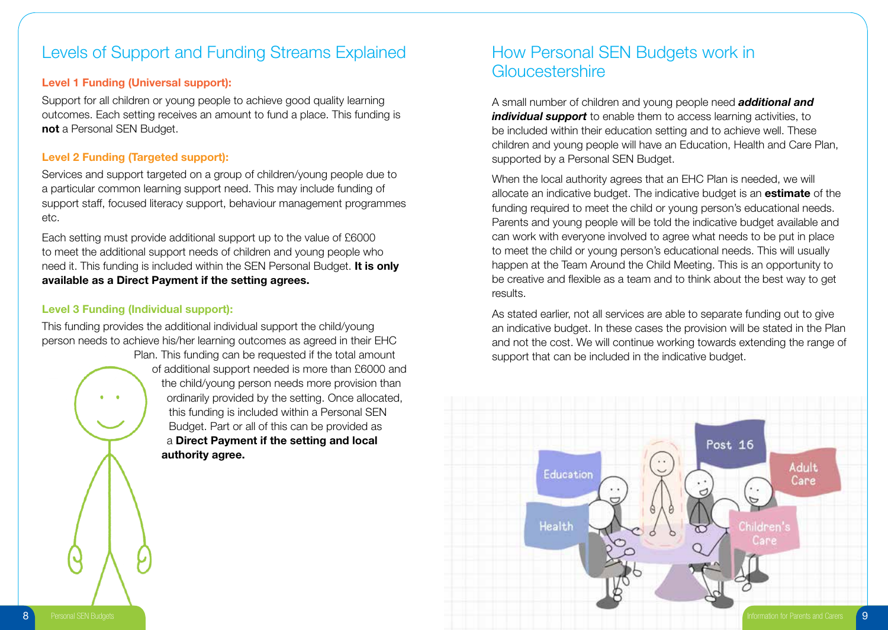### Levels of Support and Funding Streams Explained

### **Level 1 Funding (Universal support):**

Support for all children or young people to achieve good quality learning outcomes. Each setting receives an amount to fund a place. This funding is **not** a Personal SEN Budget.

### **Level 2 Funding (Targeted support):**

Services and support targeted on a group of children/young people due to a particular common learning support need. This may include funding of support staff, focused literacy support, behaviour management programmes etc.

Each setting must provide additional support up to the value of £6000 to meet the additional support needs of children and young people who need it. This funding is included within the SEN Personal Budget. **It is only available as a Direct Payment if the setting agrees.**

### **Level 3 Funding (Individual support):**

This funding provides the additional individual support the child/young person needs to achieve his/her learning outcomes as agreed in their EHC

> Plan. This funding can be requested if the total amount of additional support needed is more than £6000 and the child/young person needs more provision than ordinarily provided by the setting. Once allocated, this funding is included within a Personal SEN Budget. Part or all of this can be provided as a **Direct Payment if the setting and local authority agree.**

### How Personal SEN Budgets work in **Gloucestershire**

A small number of children and young people need *additional and*  **individual support** to enable them to access learning activities, to be included within their education setting and to achieve well. These children and young people will have an Education, Health and Care Plan, supported by a Personal SEN Budget.

When the local authority agrees that an EHC Plan is needed, we will allocate an indicative budget. The indicative budget is an **estimate** of the funding required to meet the child or young person's educational needs. Parents and young people will be told the indicative budget available and can work with everyone involved to agree what needs to be put in place to meet the child or young person's educational needs. This will usually happen at the Team Around the Child Meeting. This is an opportunity to be creative and flexible as a team and to think about the best way to get results.

As stated earlier, not all services are able to separate funding out to give an indicative budget. In these cases the provision will be stated in the Plan and not the cost. We will continue working towards extending the range of support that can be included in the indicative budget.

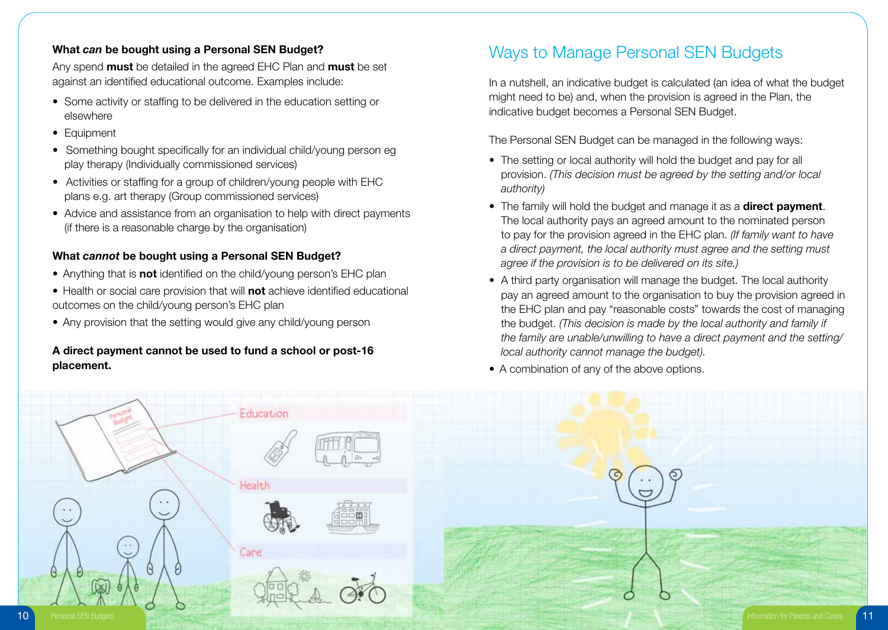### **What** *can* **be bought using a Personal SEN Budget?**

Any spend **must** be detailed in the agreed EHC Plan and **must** be set against an identified educational outcome. Examples include:

- Some activity or staffing to be delivered in the education setting or elsewhere
- Equipment
- Something bought specifically for an individual child/young person eg play therapy (Individually commissioned services)
- Activities or staffing for a group of children/young people with EHC plans e.g. art therapy (Group commissioned services)
- Advice and assistance from an organisation to help with direct payments (if there is a reasonable charge by the organisation)

### **What** *cannot* **be bought using a Personal SEN Budget?**

- Anything that is **not** identified on the child/young person's EHC plan
- Health or social care provision that will **not** achieve identified educational outcomes on the child/young person's EHC plan
- Any provision that the setting would give any child/young person

### **A direct payment cannot be used to fund a school or post-16 placement.**

## Ways to Manage Personal SEN Budgets

In a nutshell, an indicative budget is calculated (an idea of what the budget might need to be) and, when the provision is agreed in the Plan, the indicative budget becomes a Personal SEN Budget.

The Personal SEN Budget can be managed in the following ways:

- The setting or local authority will hold the budget and pay for all provision. *(This decision must be agreed by the setting and/or local authority)*
- The family will hold the budget and manage it as a **direct payment**. The local authority pays an agreed amount to the nominated person to pay for the provision agreed in the EHC plan. *(If family want to have a direct payment, the local authority must agree and the setting must agree if the provision is to be delivered on its site.)*
- A third party organisation will manage the budget. The local authority pay an agreed amount to the organisation to buy the provision agreed in the EHC plan and pay "reasonable costs" towards the cost of managing the budget. *(This decision is made by the local authority and family if the family are unable/unwilling to have a direct payment and the setting/ local authority cannot manage the budget).*
- A combination of any of the above options.

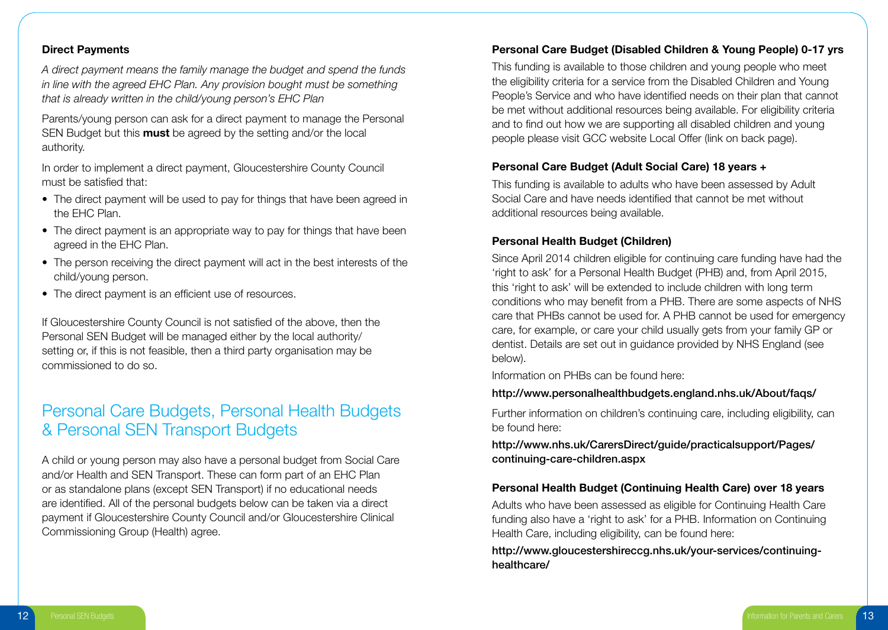### **Direct Payments**

*A direct payment means the family manage the budget and spend the funds in line with the agreed EHC Plan. Any provision bought must be something that is already written in the child/young person's EHC Plan*

Parents/young person can ask for a direct payment to manage the Personal SEN Budget but this **must** be agreed by the setting and/or the local authority.

In order to implement a direct payment, Gloucestershire County Council must be satisfied that:

- The direct payment will be used to pay for things that have been agreed in the EHC Plan.
- The direct payment is an appropriate way to pay for things that have been agreed in the EHC Plan.
- The person receiving the direct payment will act in the best interests of the child/young person.
- The direct payment is an efficient use of resources.

If Gloucestershire County Council is not satisfied of the above, then the Personal SEN Budget will be managed either by the local authority/ setting or, if this is not feasible, then a third party organisation may be commissioned to do so.

### Personal Care Budgets, Personal Health Budgets & Personal SEN Transport Budgets

A child or young person may also have a personal budget from Social Care and/or Health and SEN Transport. These can form part of an EHC Plan or as standalone plans (except SEN Transport) if no educational needs are identified. All of the personal budgets below can be taken via a direct payment if Gloucestershire County Council and/or Gloucestershire Clinical Commissioning Group (Health) agree.

### **Personal Care Budget (Disabled Children & Young People) 0-17 yrs**

This funding is available to those children and young people who meet the eligibility criteria for a service from the Disabled Children and Young People's Service and who have identified needs on their plan that cannot be met without additional resources being available. For eligibility criteria and to find out how we are supporting all disabled children and young people please visit GCC website Local Offer (link on back page).

#### **Personal Care Budget (Adult Social Care) 18 years +**

This funding is available to adults who have been assessed by Adult Social Care and have needs identified that cannot be met without additional resources being available.

### **Personal Health Budget (Children)**

Since April 2014 children eligible for continuing care funding have had the 'right to ask' for a Personal Health Budget (PHB) and, from April 2015, this 'right to ask' will be extended to include children with long term conditions who may benefit from a PHB. There are some aspects of NHS care that PHBs cannot be used for. A PHB cannot be used for emergency care, for example, or care your child usually gets from your family GP or dentist. Details are set out in guidance provided by NHS England (see below).

Information on PHBs can be found here:

### http://www.personalhealthbudgets.england.nhs.uk/About/faqs/

Further information on children's continuing care, including eligibility, can be found here:

http://www.nhs.uk/CarersDirect/guide/practicalsupport/Pages/ continuing-care-children.aspx

#### **Personal Health Budget (Continuing Health Care) over 18 years**

Adults who have been assessed as eligible for Continuing Health Care funding also have a 'right to ask' for a PHB. Information on Continuing Health Care, including eligibility, can be found here:

http://www.gloucestershireccg.nhs.uk/your-services/continuinghealthcare/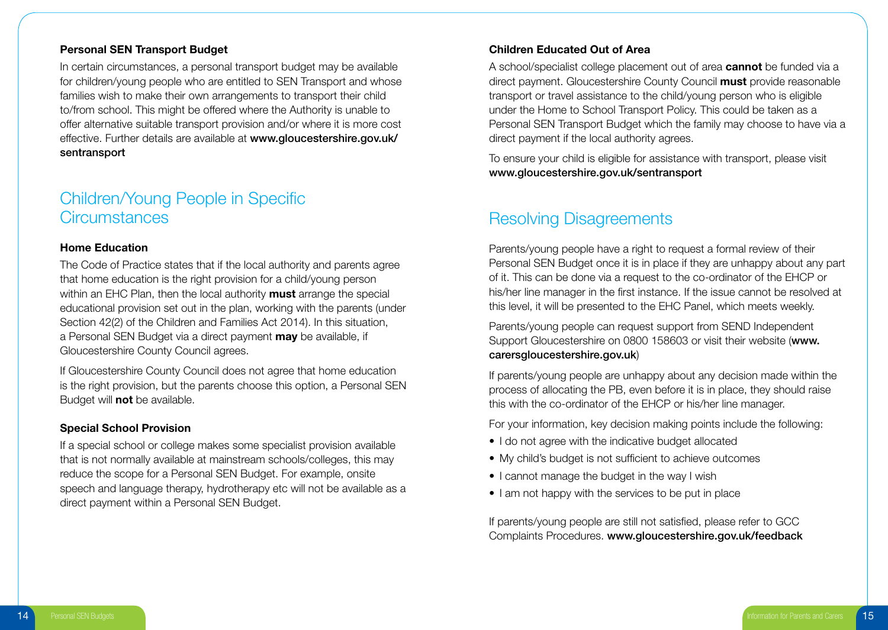#### **Personal SEN Transport Budget**

In certain circumstances, a personal transport budget may be available for children/young people who are entitled to SEN Transport and whose families wish to make their own arrangements to transport their child to/from school. This might be offered where the Authority is unable to offer alternative suitable transport provision and/or where it is more cost effective. Further details are available at www.gloucestershire.gov.uk/ sentransport

### Children/Young People in Specific **Circumstances**

#### **Home Education**

The Code of Practice states that if the local authority and parents agree that home education is the right provision for a child/young person within an EHC Plan, then the local authority **must** arrange the special educational provision set out in the plan, working with the parents (under Section 42(2) of the Children and Families Act 2014). In this situation, a Personal SEN Budget via a direct payment **may** be available, if Gloucestershire County Council agrees.

If Gloucestershire County Council does not agree that home education is the right provision, but the parents choose this option, a Personal SEN Budget will **not** be available.

#### **Special School Provision**

If a special school or college makes some specialist provision available that is not normally available at mainstream schools/colleges, this may reduce the scope for a Personal SEN Budget. For example, onsite speech and language therapy, hydrotherapy etc will not be available as a direct payment within a Personal SEN Budget.

### **Children Educated Out of Area**

A school/specialist college placement out of area **cannot** be funded via a direct payment. Gloucestershire County Council **must** provide reasonable transport or travel assistance to the child/young person who is eligible under the Home to School Transport Policy. This could be taken as a Personal SEN Transport Budget which the family may choose to have via a direct payment if the local authority agrees.

To ensure your child is eligible for assistance with transport, please visit www.gloucestershire.gov.uk/sentransport

### Resolving Disagreements

Parents/young people have a right to request a formal review of their Personal SEN Budget once it is in place if they are unhappy about any part of it. This can be done via a request to the co-ordinator of the EHCP or his/her line manager in the first instance. If the issue cannot be resolved at this level, it will be presented to the EHC Panel, which meets weekly.

Parents/young people can request support from SEND Independent Support Gloucestershire on 0800 158603 or visit their website (www. carersgloucestershire.gov.uk)

If parents/young people are unhappy about any decision made within the process of allocating the PB, even before it is in place, they should raise this with the co-ordinator of the EHCP or his/her line manager.

For your information, key decision making points include the following:

- I do not agree with the indicative budget allocated
- My child's budget is not sufficient to achieve outcomes
- I cannot manage the budget in the way I wish
- I am not happy with the services to be put in place

If parents/young people are still not satisfied, please refer to GCC Complaints Procedures. www.gloucestershire.gov.uk/feedback